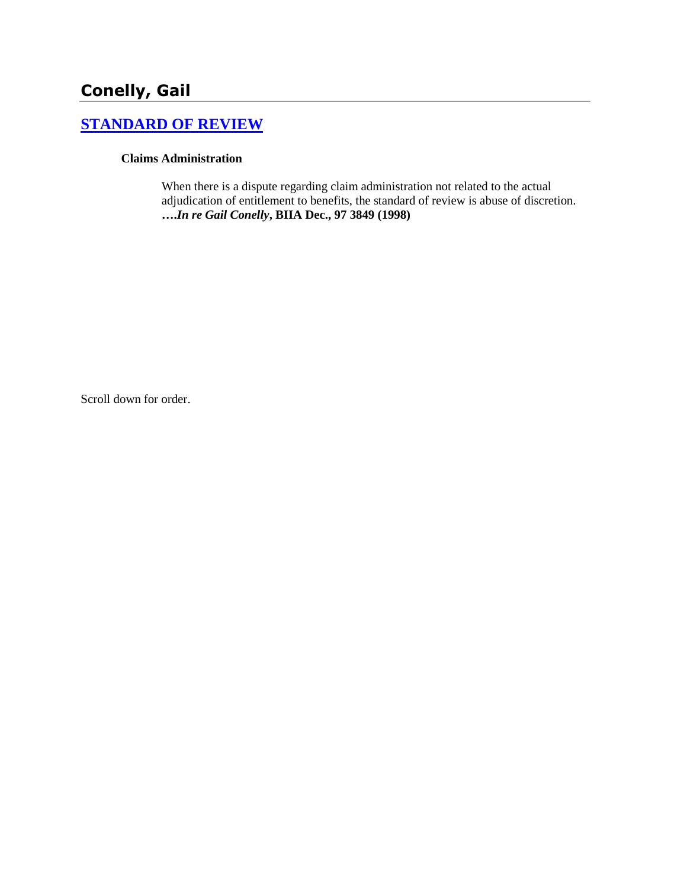# **Conelly, Gail**

### **[STANDARD OF REVIEW](http://www.biia.wa.gov/SDSubjectIndex.html#STANDARD_OF_REVIEW)**

#### **Claims Administration**

When there is a dispute regarding claim administration not related to the actual adjudication of entitlement to benefits, the standard of review is abuse of discretion. **….***In re Gail Conelly***, BIIA Dec., 97 3849 (1998)** 

Scroll down for order.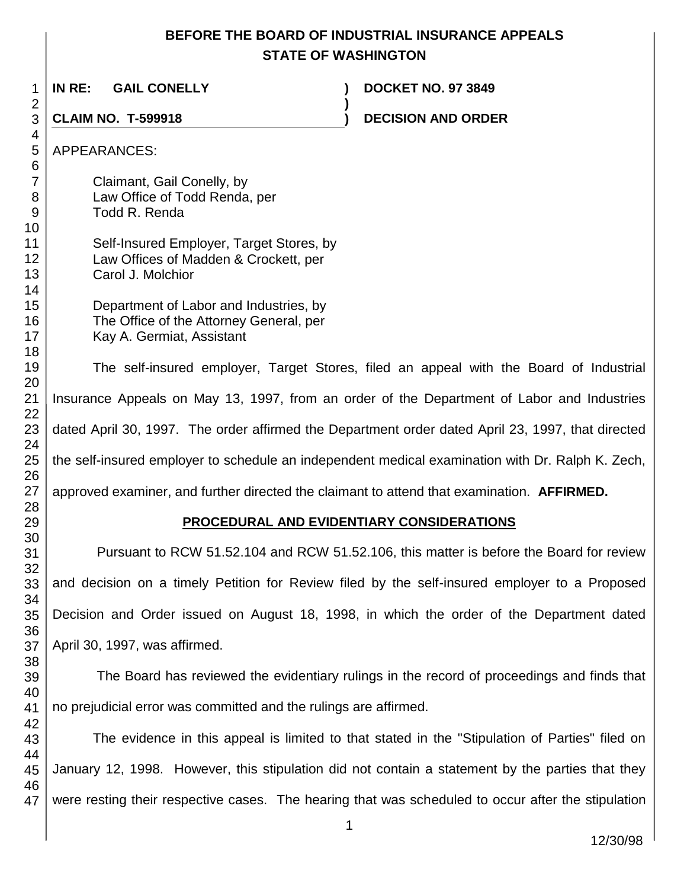### **BEFORE THE BOARD OF INDUSTRIAL INSURANCE APPEALS STATE OF WASHINGTON**

**)**

**IN RE: GAIL CONELLY ) DOCKET NO. 97 3849**

**CLAIM NO. T-599918 ) DECISION AND ORDER** 

APPEARANCES:

Claimant, Gail Conelly, by Law Office of Todd Renda, per Todd R. Renda

 Self-Insured Employer, Target Stores, by Law Offices of Madden & Crockett, per Carol J. Molchior

> Department of Labor and Industries, by The Office of the Attorney General, per Kay A. Germiat, Assistant

The self-insured employer, Target Stores, filed an appeal with the Board of Industrial Insurance Appeals on May 13, 1997, from an order of the Department of Labor and Industries dated April 30, 1997. The order affirmed the Department order dated April 23, 1997, that directed the self-insured employer to schedule an independent medical examination with Dr. Ralph K. Zech, approved examiner, and further directed the claimant to attend that examination. **AFFIRMED.**

#### **PROCEDURAL AND EVIDENTIARY CONSIDERATIONS**

Pursuant to RCW 51.52.104 and RCW 51.52.106, this matter is before the Board for review and decision on a timely Petition for Review filed by the self-insured employer to a Proposed Decision and Order issued on August 18, 1998, in which the order of the Department dated April 30, 1997, was affirmed.

 The Board has reviewed the evidentiary rulings in the record of proceedings and finds that no prejudicial error was committed and the rulings are affirmed.

 The evidence in this appeal is limited to that stated in the "Stipulation of Parties" filed on January 12, 1998. However, this stipulation did not contain a statement by the parties that they were resting their respective cases. The hearing that was scheduled to occur after the stipulation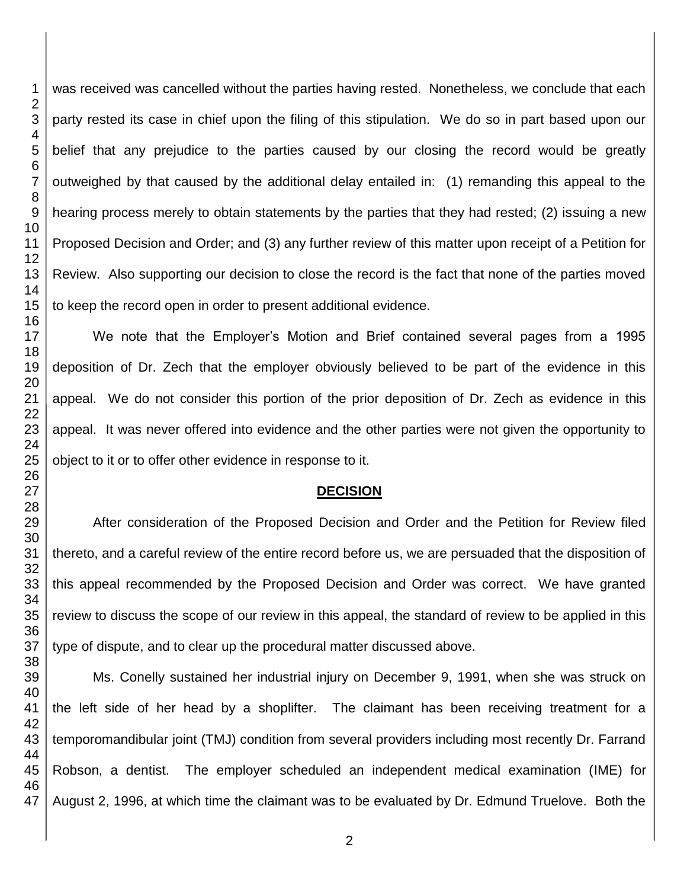was received was cancelled without the parties having rested. Nonetheless, we conclude that each party rested its case in chief upon the filing of this stipulation. We do so in part based upon our belief that any prejudice to the parties caused by our closing the record would be greatly outweighed by that caused by the additional delay entailed in: (1) remanding this appeal to the hearing process merely to obtain statements by the parties that they had rested; (2) issuing a new Proposed Decision and Order; and (3) any further review of this matter upon receipt of a Petition for Review. Also supporting our decision to close the record is the fact that none of the parties moved to keep the record open in order to present additional evidence. We note that the Employer's Motion and Brief contained several pages from a 1995 deposition of Dr. Zech that the employer obviously believed to be part of the evidence in this appeal. We do not consider this portion of the prior deposition of Dr. Zech as evidence in this

appeal. It was never offered into evidence and the other parties were not given the opportunity to object to it or to offer other evidence in response to it.

#### **DECISION**

After consideration of the Proposed Decision and Order and the Petition for Review filed thereto, and a careful review of the entire record before us, we are persuaded that the disposition of this appeal recommended by the Proposed Decision and Order was correct. We have granted review to discuss the scope of our review in this appeal, the standard of review to be applied in this type of dispute, and to clear up the procedural matter discussed above.

Ms. Conelly sustained her industrial injury on December 9, 1991, when she was struck on the left side of her head by a shoplifter. The claimant has been receiving treatment for a temporomandibular joint (TMJ) condition from several providers including most recently Dr. Farrand Robson, a dentist. The employer scheduled an independent medical examination (IME) for August 2, 1996, at which time the claimant was to be evaluated by Dr. Edmund Truelove. Both the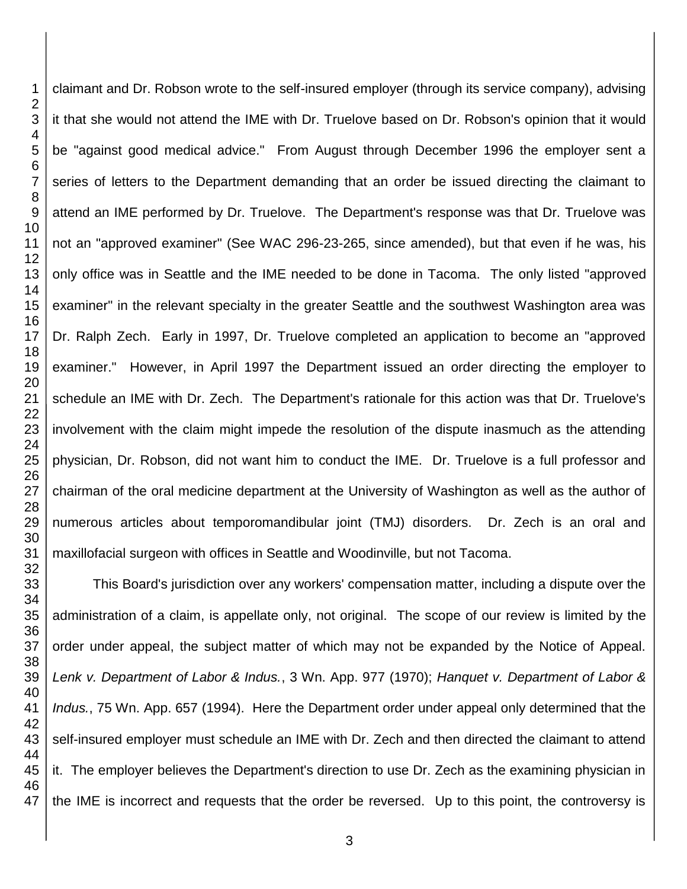claimant and Dr. Robson wrote to the self-insured employer (through its service company), advising it that she would not attend the IME with Dr. Truelove based on Dr. Robson's opinion that it would be "against good medical advice." From August through December 1996 the employer sent a series of letters to the Department demanding that an order be issued directing the claimant to attend an IME performed by Dr. Truelove. The Department's response was that Dr. Truelove was not an "approved examiner" (See WAC 296-23-265, since amended), but that even if he was, his only office was in Seattle and the IME needed to be done in Tacoma. The only listed "approved examiner" in the relevant specialty in the greater Seattle and the southwest Washington area was Dr. Ralph Zech. Early in 1997, Dr. Truelove completed an application to become an "approved examiner." However, in April 1997 the Department issued an order directing the employer to schedule an IME with Dr. Zech. The Department's rationale for this action was that Dr. Truelove's involvement with the claim might impede the resolution of the dispute inasmuch as the attending physician, Dr. Robson, did not want him to conduct the IME. Dr. Truelove is a full professor and chairman of the oral medicine department at the University of Washington as well as the author of numerous articles about temporomandibular joint (TMJ) disorders. Dr. Zech is an oral and maxillofacial surgeon with offices in Seattle and Woodinville, but not Tacoma.

This Board's jurisdiction over any workers' compensation matter, including a dispute over the administration of a claim, is appellate only, not original. The scope of our review is limited by the order under appeal, the subject matter of which may not be expanded by the Notice of Appeal. *Lenk v. Department of Labor & Indus.*, 3 Wn. App. 977 (1970); *Hanquet v. Department of Labor & Indus.*, 75 Wn. App. 657 (1994). Here the Department order under appeal only determined that the self-insured employer must schedule an IME with Dr. Zech and then directed the claimant to attend it. The employer believes the Department's direction to use Dr. Zech as the examining physician in the IME is incorrect and requests that the order be reversed. Up to this point, the controversy is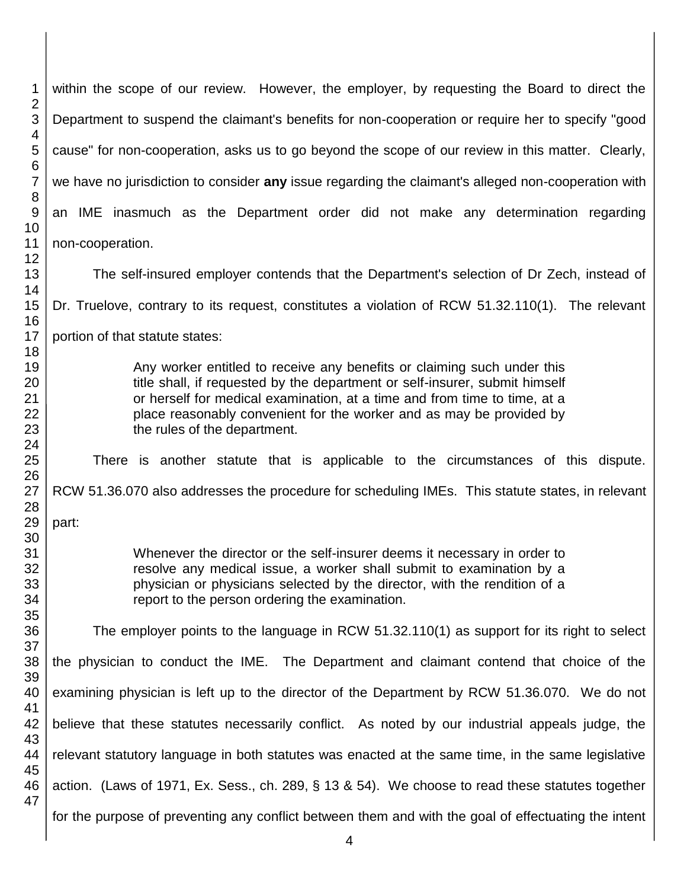within the scope of our review. However, the employer, by requesting the Board to direct the Department to suspend the claimant's benefits for non-cooperation or require her to specify "good cause" for non-cooperation, asks us to go beyond the scope of our review in this matter. Clearly, we have no jurisdiction to consider **any** issue regarding the claimant's alleged non-cooperation with an IME inasmuch as the Department order did not make any determination regarding non-cooperation.

The self-insured employer contends that the Department's selection of Dr Zech, instead of Dr. Truelove, contrary to its request, constitutes a violation of RCW 51.32.110(1). The relevant portion of that statute states:

> Any worker entitled to receive any benefits or claiming such under this title shall, if requested by the department or self-insurer, submit himself or herself for medical examination, at a time and from time to time, at a place reasonably convenient for the worker and as may be provided by the rules of the department.

There is another statute that is applicable to the circumstances of this dispute. RCW 51.36.070 also addresses the procedure for scheduling IMEs. This statute states, in relevant

part:

Whenever the director or the self-insurer deems it necessary in order to resolve any medical issue, a worker shall submit to examination by a physician or physicians selected by the director, with the rendition of a report to the person ordering the examination.

The employer points to the language in RCW 51.32.110(1) as support for its right to select the physician to conduct the IME. The Department and claimant contend that choice of the examining physician is left up to the director of the Department by RCW 51.36.070. We do not believe that these statutes necessarily conflict. As noted by our industrial appeals judge, the relevant statutory language in both statutes was enacted at the same time, in the same legislative action. (Laws of 1971, Ex. Sess., ch. 289, § 13 & 54). We choose to read these statutes together for the purpose of preventing any conflict between them and with the goal of effectuating the intent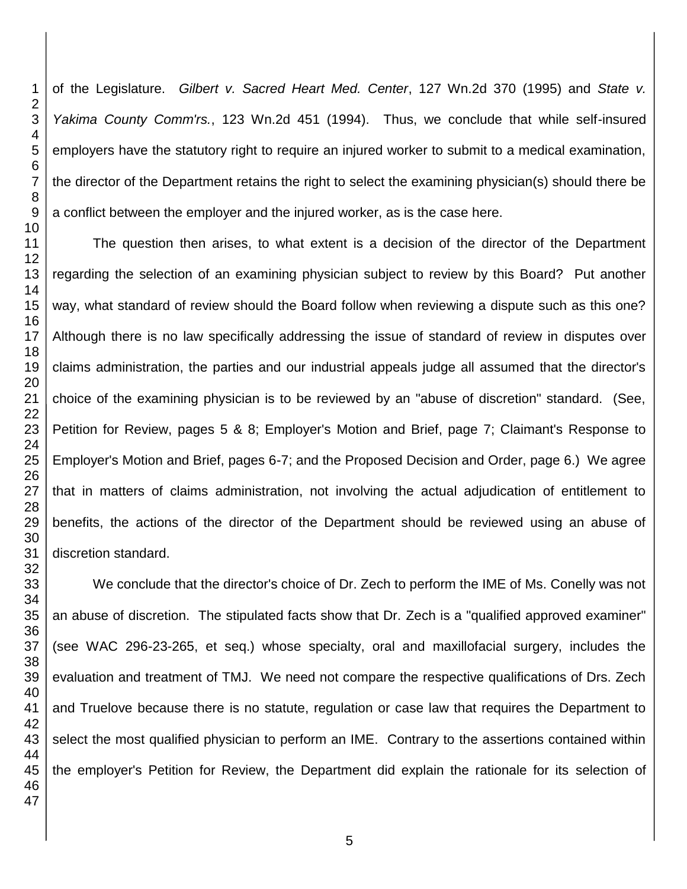of the Legislature. *Gilbert v. Sacred Heart Med. Center*, 127 Wn.2d 370 (1995) and *State v. Yakima County Comm'rs.*, 123 Wn.2d 451 (1994). Thus, we conclude that while self-insured employers have the statutory right to require an injured worker to submit to a medical examination, the director of the Department retains the right to select the examining physician(s) should there be a conflict between the employer and the injured worker, as is the case here.

The question then arises, to what extent is a decision of the director of the Department regarding the selection of an examining physician subject to review by this Board? Put another way, what standard of review should the Board follow when reviewing a dispute such as this one? Although there is no law specifically addressing the issue of standard of review in disputes over claims administration, the parties and our industrial appeals judge all assumed that the director's choice of the examining physician is to be reviewed by an "abuse of discretion" standard. (See, Petition for Review, pages 5 & 8; Employer's Motion and Brief, page 7; Claimant's Response to Employer's Motion and Brief, pages 6-7; and the Proposed Decision and Order, page 6.) We agree that in matters of claims administration, not involving the actual adjudication of entitlement to benefits, the actions of the director of the Department should be reviewed using an abuse of discretion standard.

We conclude that the director's choice of Dr. Zech to perform the IME of Ms. Conelly was not an abuse of discretion. The stipulated facts show that Dr. Zech is a "qualified approved examiner" (see WAC 296-23-265, et seq.) whose specialty, oral and maxillofacial surgery, includes the evaluation and treatment of TMJ. We need not compare the respective qualifications of Drs. Zech and Truelove because there is no statute, regulation or case law that requires the Department to select the most qualified physician to perform an IME. Contrary to the assertions contained within the employer's Petition for Review, the Department did explain the rationale for its selection of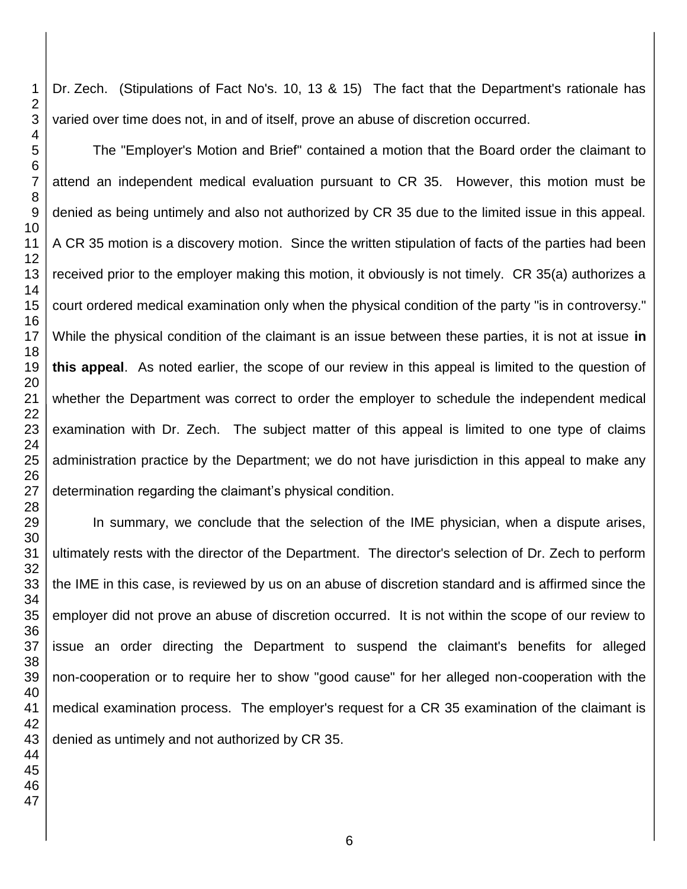Dr. Zech. (Stipulations of Fact No's. 10, 13 & 15) The fact that the Department's rationale has varied over time does not, in and of itself, prove an abuse of discretion occurred.

The "Employer's Motion and Brief" contained a motion that the Board order the claimant to attend an independent medical evaluation pursuant to CR 35. However, this motion must be denied as being untimely and also not authorized by CR 35 due to the limited issue in this appeal. A CR 35 motion is a discovery motion. Since the written stipulation of facts of the parties had been received prior to the employer making this motion, it obviously is not timely. CR 35(a) authorizes a court ordered medical examination only when the physical condition of the party "is in controversy." While the physical condition of the claimant is an issue between these parties, it is not at issue **in this appeal**. As noted earlier, the scope of our review in this appeal is limited to the question of whether the Department was correct to order the employer to schedule the independent medical examination with Dr. Zech. The subject matter of this appeal is limited to one type of claims administration practice by the Department; we do not have jurisdiction in this appeal to make any determination regarding the claimant's physical condition.

In summary, we conclude that the selection of the IME physician, when a dispute arises, ultimately rests with the director of the Department. The director's selection of Dr. Zech to perform the IME in this case, is reviewed by us on an abuse of discretion standard and is affirmed since the employer did not prove an abuse of discretion occurred. It is not within the scope of our review to issue an order directing the Department to suspend the claimant's benefits for alleged non-cooperation or to require her to show "good cause" for her alleged non-cooperation with the medical examination process. The employer's request for a CR 35 examination of the claimant is denied as untimely and not authorized by CR 35.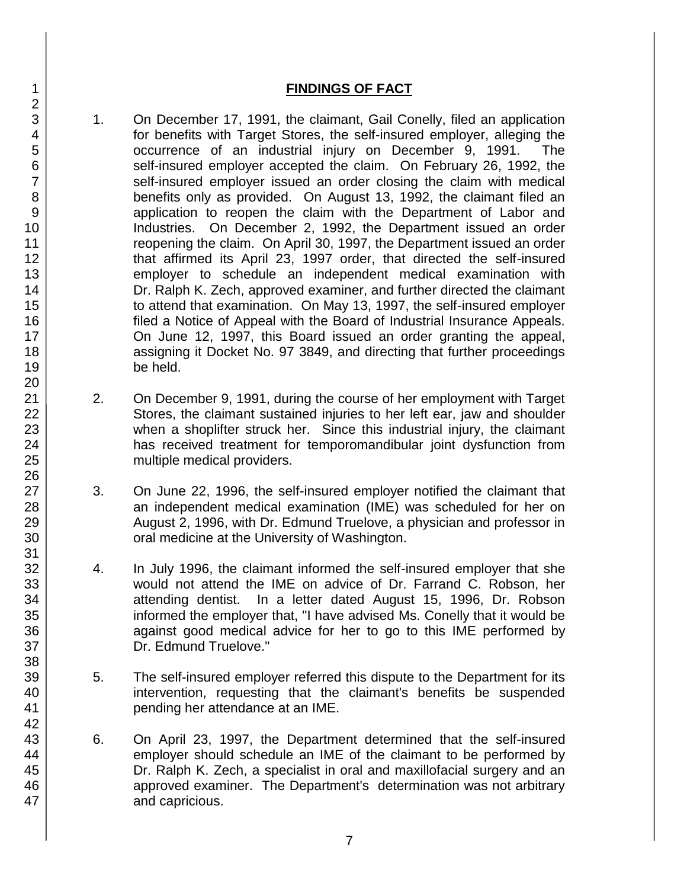#### **FINDINGS OF FACT**

- 1. On December 17, 1991, the claimant, Gail Conelly, filed an application for benefits with Target Stores, the self-insured employer, alleging the occurrence of an industrial injury on December 9, 1991. The self-insured employer accepted the claim. On February 26, 1992, the self-insured employer issued an order closing the claim with medical benefits only as provided. On August 13, 1992, the claimant filed an application to reopen the claim with the Department of Labor and Industries. On December 2, 1992, the Department issued an order reopening the claim. On April 30, 1997, the Department issued an order that affirmed its April 23, 1997 order, that directed the self-insured employer to schedule an independent medical examination with Dr. Ralph K. Zech, approved examiner, and further directed the claimant to attend that examination. On May 13, 1997, the self-insured employer filed a Notice of Appeal with the Board of Industrial Insurance Appeals. On June 12, 1997, this Board issued an order granting the appeal, assigning it Docket No. 97 3849, and directing that further proceedings be held.
- 2. On December 9, 1991, during the course of her employment with Target Stores, the claimant sustained injuries to her left ear, jaw and shoulder when a shoplifter struck her. Since this industrial injury, the claimant has received treatment for temporomandibular joint dysfunction from multiple medical providers.
- 3. On June 22, 1996, the self-insured employer notified the claimant that an independent medical examination (IME) was scheduled for her on August 2, 1996, with Dr. Edmund Truelove, a physician and professor in oral medicine at the University of Washington.
- 4. In July 1996, the claimant informed the self-insured employer that she would not attend the IME on advice of Dr. Farrand C. Robson, her attending dentist. In a letter dated August 15, 1996, Dr. Robson informed the employer that, "I have advised Ms. Conelly that it would be against good medical advice for her to go to this IME performed by Dr. Edmund Truelove."
- 5. The self-insured employer referred this dispute to the Department for its intervention, requesting that the claimant's benefits be suspended pending her attendance at an IME.
- 6. On April 23, 1997, the Department determined that the self-insured employer should schedule an IME of the claimant to be performed by Dr. Ralph K. Zech, a specialist in oral and maxillofacial surgery and an approved examiner. The Department's determination was not arbitrary and capricious.